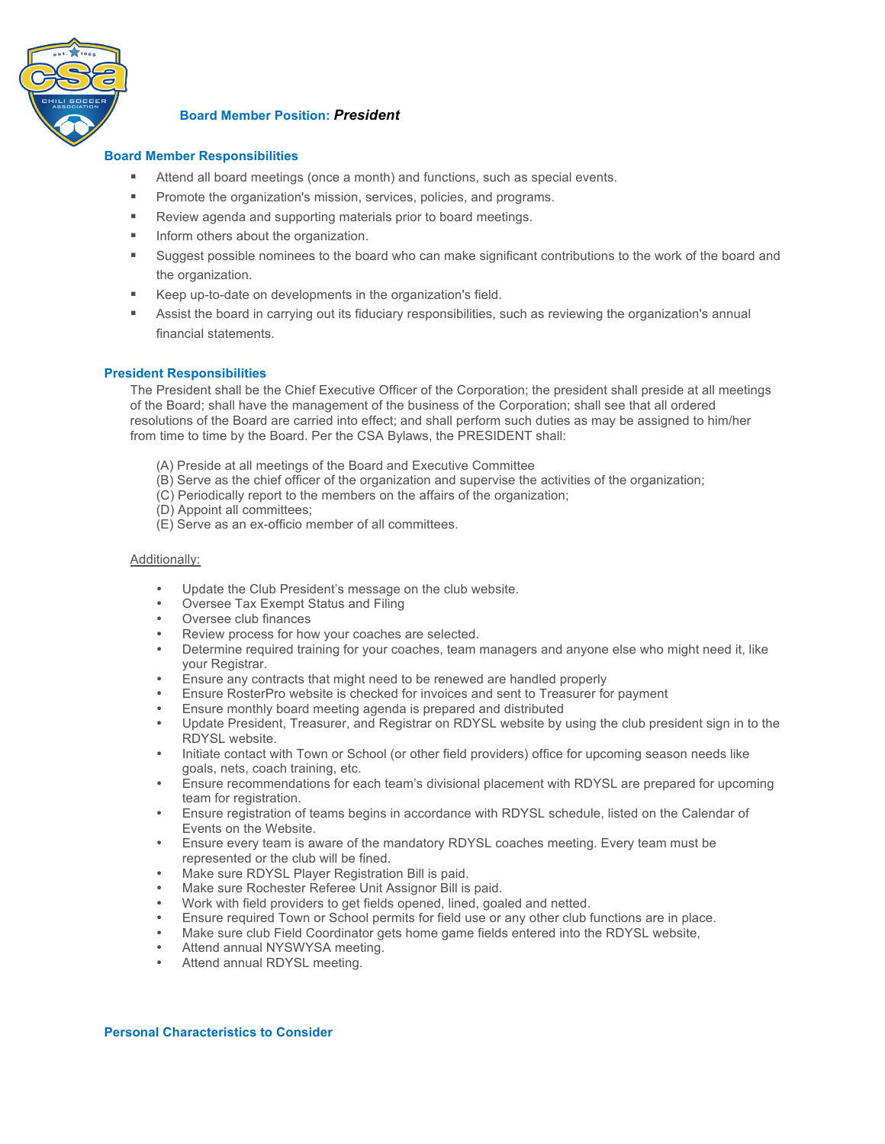

# **Board Member Position:** *President*

## **Board Member Responsibilities**

- Attend all board meetings (once a month) and functions, such as special events.
- **Promote the organization's mission, services, policies, and programs.**
- **EXECTE:** Review agenda and supporting materials prior to board meetings.
- **IDED** Inform others about the organization.
- ! Suggest possible nominees to the board who can make significant contributions to the work of the board and the organization.
- Keep up-to-date on developments in the organization's field.
- ! Assist the board in carrying out its fiduciary responsibilities, such as reviewing the organization's annual financial statements.

### **President Responsibilities**

The President shall be the Chief Executive Officer of the Corporation; the president shall preside at all meetings of the Board; shall have the management of the business of the Corporation; shall see that all ordered resolutions of the Board are carried into effect; and shall perform such duties as may be assigned to him/her from time to time by the Board. Per the CSA Bylaws, the PRESIDENT shall:

- (A) Preside at all meetings of the Board and Executive Committee
- (B) Serve as the chief officer of the organization and supervise the activities of the organization;
- (C) Periodically report to the members on the affairs of the organization;
- (D) Appoint all committees;
- (E) Serve as an ex-officio member of all committees.

#### Additionally:

- Update the Club President's message on the club website.
- Oversee Tax Exempt Status and Filing
- 
- Oversee club finances<br>Review process for how your coaches are selected. • Review process for how your coaches are selected.
- Determine required training for your coaches, team managers and anyone else who might need it, like your Registrar.
- Ensure any contracts that might need to be renewed are handled properly
- Ensure RosterPro website is checked for invoices and sent to Treasurer for payment
- Ensure monthly board meeting agenda is prepared and distributed
- Update President, Treasurer, and Registrar on RDYSL website by using the club president sign in to the RDYSL website.
- Initiate contact with Town or School (or other field providers) office for upcoming season needs like goals, nets, coach training, etc.
- Ensure recommendations for each team's divisional placement with RDYSL are prepared for upcoming team for registration.
- Ensure registration of teams begins in accordance with RDYSL schedule, listed on the Calendar of Events on the Website.
- Ensure every team is aware of the mandatory RDYSL coaches meeting. Every team must be represented or the club will be fined.
- Make sure RDYSL Player Registration Bill is paid.
- Make sure Rochester Referee Unit Assignor Bill is paid.
- Work with field providers to get fields opened, lined, goaled and netted.
- Ensure required Town or School permits for field use or any other club functions are in place.
- Make sure club Field Coordinator gets home game fields entered into the RDYSL website,
- Attend annual NYSWYSA meeting.
- Attend annual RDYSL meeting.

#### **Personal Characteristics to Consider**